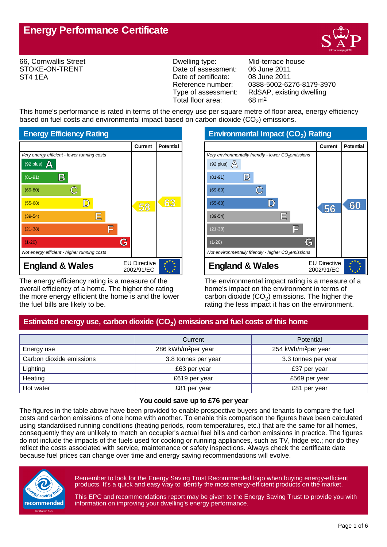

66, Cornwallis Street STOKE-ON-TRENT ST4 1EA

Dwelling type: Mid-terrace house Date of assessment: 06 June 2011<br>Date of certificate: 08 June 2011 Date of certificate:<br>Reference number: Total floor area: 68 m2

Reference number: 0388-5002-6276-8179-3970<br>Type of assessment: RdSAP, existing dwelling RdSAP, existing dwelling

This home's performance is rated in terms of the energy use per square metre of floor area, energy efficiency based on fuel costs and environmental impact based on carbon dioxide (CO<sub>2</sub>) emissions.



The energy efficiency rating is a measure of the overall efficiency of a home. The higher the rating the more energy efficient the home is and the lower the fuel bills are likely to be.

**Environmental Impact (CO<sup>2</sup> ) Rating**

|                                                                 | Current                           | <b>Potential</b> |
|-----------------------------------------------------------------|-----------------------------------|------------------|
| Very environmentally friendly - lower CO <sub>2</sub> emissions |                                   |                  |
| (92 plus) $\mathbb{A}$                                          |                                   |                  |
| $\mathbb{B}$<br>$(81-91)$                                       |                                   |                  |
| $(69-80)$                                                       |                                   |                  |
| $(55-68)$                                                       | 56                                | 60               |
| IΕ<br>$(39-54)$                                                 |                                   |                  |
| F<br>$(21-38)$                                                  |                                   |                  |
| G<br>$(1-20)$                                                   |                                   |                  |
| Not environmentally friendly - higher $CO2$ emissions           |                                   |                  |
| <b>England &amp; Wales</b>                                      | <b>EU Directive</b><br>2002/91/EC |                  |

The environmental impact rating is a measure of a home's impact on the environment in terms of carbon dioxide (CO<sub>2</sub>) emissions. The higher the rating the less impact it has on the environment.

# **Estimated energy use, carbon dioxide (CO<sup>2</sup> ) emissions and fuel costs of this home**

|                          | Current                         | <b>Potential</b>                |
|--------------------------|---------------------------------|---------------------------------|
| Energy use               | 286 kWh/m <sup>2</sup> per year | 254 kWh/m <sup>2</sup> per year |
| Carbon dioxide emissions | 3.8 tonnes per year             | 3.3 tonnes per year             |
| Lighting                 | £63 per year                    | £37 per year                    |
| Heating                  | £619 per year                   | £569 per year                   |
| Hot water                | £81 per year                    | £81 per year                    |

#### **You could save up to £76 per year**

The figures in the table above have been provided to enable prospective buyers and tenants to compare the fuel costs and carbon emissions of one home with another. To enable this comparison the figures have been calculated using standardised running conditions (heating periods, room temperatures, etc.) that are the same for all homes, consequently they are unlikely to match an occupier's actual fuel bills and carbon emissions in practice. The figures do not include the impacts of the fuels used for cooking or running appliances, such as TV, fridge etc.; nor do they reflect the costs associated with service, maintenance or safety inspections. Always check the certificate date because fuel prices can change over time and energy saving recommendations will evolve.



Remember to look for the Energy Saving Trust Recommended logo when buying energy-efficient products. It's a quick and easy way to identify the most energy-efficient products on the market.

This EPC and recommendations report may be given to the Energy Saving Trust to provide you with information on improving your dwelling's energy performance.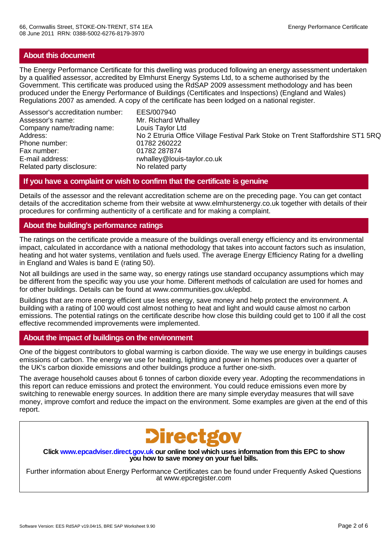## **About this document**

The Energy Performance Certificate for this dwelling was produced following an energy assessment undertaken by a qualified assessor, accredited by Elmhurst Energy Systems Ltd, to a scheme authorised by the Government. This certificate was produced using the RdSAP 2009 assessment methodology and has been produced under the Energy Performance of Buildings (Certificates and Inspections) (England and Wales) Regulations 2007 as amended. A copy of the certificate has been lodged on a national register.

Assessor's accreditation number: EES/007940 Assessor's name: Mr. Richard Whalley Company name/trading name: Louis Taylor Ltd Phone number: 01782 260222 Fax number: 01782 287874 E-mail address: rwhalley@louis-taylor.co.uk<br>Related party disclosure: No related party Related party disclosure:

No 2 Etruria Office Village Festival Park Stoke on Trent Staffordshire ST1 5RQ

### **If you have a complaint or wish to confirm that the certificate is genuine**

Details of the assessor and the relevant accreditation scheme are on the preceding page. You can get contact details of the accreditation scheme from their website at www.elmhurstenergy.co.uk together with details of their procedures for confirming authenticity of a certificate and for making a complaint.

## **About the building's performance ratings**

The ratings on the certificate provide a measure of the buildings overall energy efficiency and its environmental impact, calculated in accordance with a national methodology that takes into account factors such as insulation, heating and hot water systems, ventilation and fuels used. The average Energy Efficiency Rating for a dwelling in England and Wales is band E (rating 50).

Not all buildings are used in the same way, so energy ratings use standard occupancy assumptions which may be different from the specific way you use your home. Different methods of calculation are used for homes and for other buildings. Details can be found at www.communities.gov.uk/epbd.

Buildings that are more energy efficient use less energy, save money and help protect the environment. A building with a rating of 100 would cost almost nothing to heat and light and would cause almost no carbon emissions. The potential ratings on the certificate describe how close this building could get to 100 if all the cost effective recommended improvements were implemented.

### **About the impact of buildings on the environment**

One of the biggest contributors to global warming is carbon dioxide. The way we use energy in buildings causes emissions of carbon. The energy we use for heating, lighting and power in homes produces over a quarter of the UK's carbon dioxide emissions and other buildings produce a further one-sixth.

The average household causes about 6 tonnes of carbon dioxide every year. Adopting the recommendations in this report can reduce emissions and protect the environment. You could reduce emissions even more by switching to renewable energy sources. In addition there are many simple everyday measures that will save money, improve comfort and reduce the impact on the environment. Some examples are given at the end of this report.



**Click www.epcadviser.direct.gov.uk our online tool which uses information from this EPC to show you how to save money on your fuel bills.**

Further information about Energy Performance Certificates can be found under Frequently Asked Questions at www.epcregister.com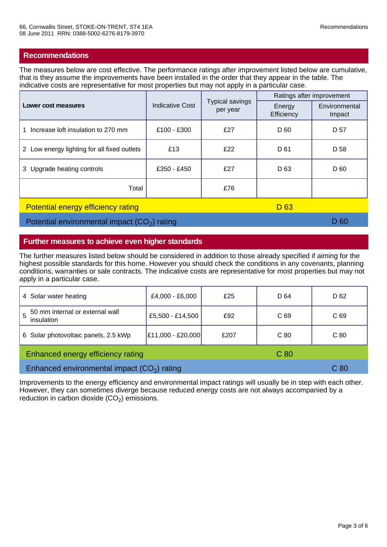The measures below are cost effective. The performance ratings after improvement listed below are cumulative, that is they assume the improvements have been installed in the order that they appear in the table. The indicative costs are representative for most properties but may not apply in a particular case.

|                                                              | <b>Indicative Cost</b> | Typical savings<br>per year | Ratings after improvement |                         |
|--------------------------------------------------------------|------------------------|-----------------------------|---------------------------|-------------------------|
| Lower cost measures                                          |                        |                             | Energy<br>Efficiency      | Environmental<br>Impact |
| Increase loft insulation to 270 mm                           | £100 - £300            | £27                         | D 60                      | D 57                    |
| 2 Low energy lighting for all fixed outlets                  | £13                    | £22                         | D 61                      | D 58                    |
| 3 Upgrade heating controls                                   | £350 - £450            | £27                         | D <sub>63</sub>           | D 60                    |
| Total                                                        |                        | £76                         |                           |                         |
| <b>Potential energy efficiency rating</b><br>D <sub>63</sub> |                        |                             |                           |                         |

Potential environmental impact  $(CO<sub>2</sub>)$  rating ) rating the contraction of the contraction  $\Box$  D 60  $\Box$ 

**Further measures to achieve even higher standards**

The further measures listed below should be considered in addition to those already specified if aiming for the highest possible standards for this home. However you should check the conditions in any covenants, planning conditions, warranties or sale contracts. The indicative costs are representative for most properties but may not apply in a particular case.

| 4 Solar water heating                                | £4,000 - £6,000   | £25  | D 64            | D 62            |
|------------------------------------------------------|-------------------|------|-----------------|-----------------|
| 50 mm internal or external wall<br>insulation        | £5,500 - £14,500  | £92  | C <sub>69</sub> | C <sub>69</sub> |
| 6 Solar photovoltaic panels, 2.5 kWp                 | £11,000 - £20,000 | £207 | C80             | C <sub>80</sub> |
| Enhanced energy efficiency rating<br>C <sub>80</sub> |                   |      |                 |                 |
| Enhanced environmental impact $(CO2)$ rating         |                   |      |                 | C <sub>80</sub> |

Improvements to the energy efficiency and environmental impact ratings will usually be in step with each other. However, they can sometimes diverge because reduced energy costs are not always accompanied by a reduction in carbon dioxide  $(CO_2)$  emissions.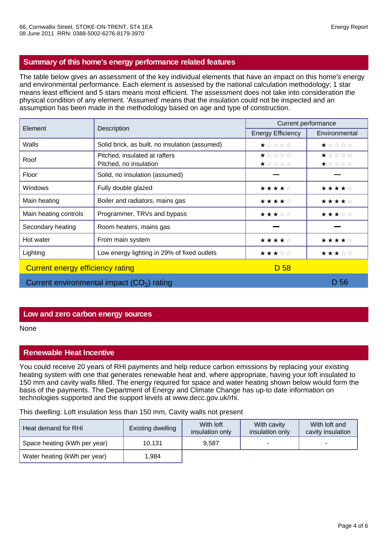## **Summary of this home's energy performance related features**

The table below gives an assessment of the key individual elements that have an impact on this home's energy and environmental performance. Each element is assessed by the national calculation methodology; 1 star means least efficient and 5 stars means most efficient. The assessment does not take into consideration the physical condition of any element. 'Assumed' means that the insulation could not be inspected and an assumption has been made in the methodology based on age and type of construction.

| Element                                     |                                                         | Current performance      |                                          |  |
|---------------------------------------------|---------------------------------------------------------|--------------------------|------------------------------------------|--|
|                                             | Description                                             | <b>Energy Efficiency</b> | Environmental                            |  |
| Walls                                       | Solid brick, as built, no insulation (assumed)          | ★☆☆☆☆                    | ★☆☆☆☆                                    |  |
| Roof                                        | Pitched, insulated at rafters<br>Pitched, no insulation | $\star$ * * * *<br>★☆☆☆☆ | $\star \star \star \star \star$<br>★☆☆☆☆ |  |
| Floor                                       | Solid, no insulation (assumed)                          |                          |                                          |  |
| <b>Windows</b>                              | Fully double glazed                                     | ★★★★☆                    | ★★★★☆                                    |  |
| Main heating                                | Boiler and radiators, mains gas                         | ★★★★☆                    | ★★★★☆                                    |  |
| Main heating controls                       | Programmer, TRVs and bypass                             | ★★★☆☆                    | ★★★☆☆                                    |  |
| Secondary heating                           | Room heaters, mains gas                                 |                          |                                          |  |
| Hot water                                   | From main system                                        | ★★★★☆                    | ★★★★☆                                    |  |
| Lighting                                    | Low energy lighting in 29% of fixed outlets             | ★★★☆☆                    | ★★★☆☆                                    |  |
| Current energy efficiency rating            |                                                         | D 58                     |                                          |  |
| Current environmental impact $(CO2)$ rating |                                                         |                          | D 56                                     |  |

### **Low and zero carbon energy sources**

None

### **Renewable Heat Incentive**

You could receive 20 years of RHI payments and help reduce carbon emissions by replacing your existing heating system with one that generates renewable heat and, where appropriate, having your loft insulated to 150 mm and cavity walls filled. The energy required for space and water heating shown below would form the basis of the payments. The Department of Energy and Climate Change has up-to date information on technologies supported and the support levels at www.decc.gov.uk/rhi.

This dwelling: Loft insulation less than 150 mm, Cavity walls not present

| Heat demand for RHI          | Existing dwelling | With loft<br>insulation only | With cavity<br>insulation only | With loft and<br>cavity insulation |
|------------------------------|-------------------|------------------------------|--------------------------------|------------------------------------|
| Space heating (kWh per year) | 10.131            | 9.587                        |                                |                                    |
| Water heating (kWh per year) | 1.984             |                              |                                |                                    |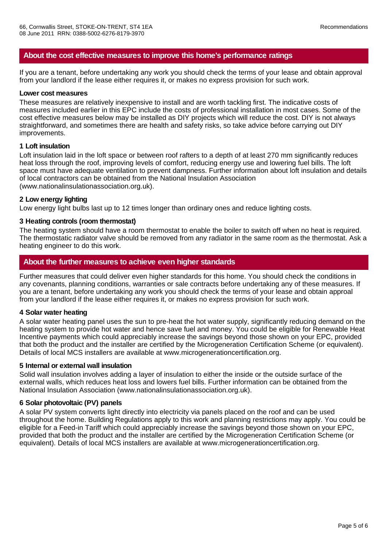## **About the cost effective measures to improve this home's performance ratings**

If you are a tenant, before undertaking any work you should check the terms of your lease and obtain approval from your landlord if the lease either requires it, or makes no express provision for such work.

#### **Lower cost measures**

These measures are relatively inexpensive to install and are worth tackling first. The indicative costs of measures included earlier in this EPC include the costs of professional installation in most cases. Some of the cost effective measures below may be installed as DIY projects which will reduce the cost. DIY is not always straightforward, and sometimes there are health and safety risks, so take advice before carrying out DIY improvements.

### **1 Loft insulation**

Loft insulation laid in the loft space or between roof rafters to a depth of at least 270 mm significantly reduces heat loss through the roof, improving levels of comfort, reducing energy use and lowering fuel bills. The loft space must have adequate ventilation to prevent dampness. Further information about loft insulation and details of local contractors can be obtained from the National Insulation Association (www.nationalinsulationassociation.org.uk).

#### **2 Low energy lighting**

Low energy light bulbs last up to 12 times longer than ordinary ones and reduce lighting costs.

### **3 Heating controls (room thermostat)**

The heating system should have a room thermostat to enable the boiler to switch off when no heat is required. The thermostatic radiator valve should be removed from any radiator in the same room as the thermostat. Ask a heating engineer to do this work.

## **About the further measures to achieve even higher standards**

Further measures that could deliver even higher standards for this home. You should check the conditions in any covenants, planning conditions, warranties or sale contracts before undertaking any of these measures. If you are a tenant, before undertaking any work you should check the terms of your lease and obtain approal from your landlord if the lease either requires it, or makes no express provision for such work.

#### **4 Solar water heating**

A solar water heating panel uses the sun to pre-heat the hot water supply, significantly reducing demand on the heating system to provide hot water and hence save fuel and money. You could be eligible for Renewable Heat Incentive payments which could appreciably increase the savings beyond those shown on your EPC, provided that both the product and the installer are certified by the Microgeneration Certification Scheme (or equivalent). Details of local MCS installers are available at www.microgenerationcertification.org.

#### **5 Internal or external wall insulation**

Solid wall insulation involves adding a layer of insulation to either the inside or the outside surface of the external walls, which reduces heat loss and lowers fuel bills. Further information can be obtained from the National Insulation Association (www.nationalinsulationassociation.org.uk).

#### **6 Solar photovoltaic (PV) panels**

A solar PV system converts light directly into electricity via panels placed on the roof and can be used throughout the home. Building Regulations apply to this work and planning restrictions may apply. You could be eligible for a Feed-in Tariff which could appreciably increase the savings beyond those shown on your EPC, provided that both the product and the installer are certified by the Microgeneration Certification Scheme (or equivalent). Details of local MCS installers are available at www.microgenerationcertification.org.